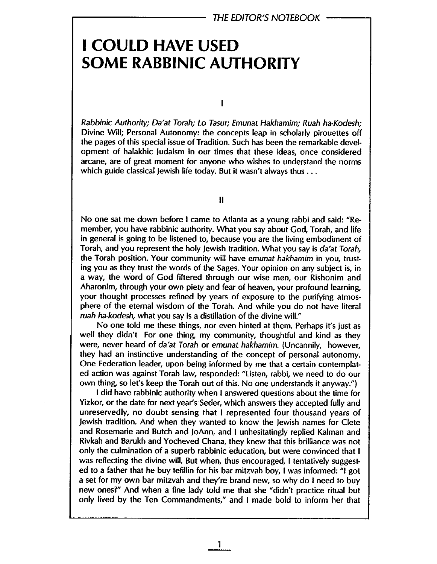## I COULD HAVE USED SOME RABBINIC AUTHORITY

 $\mathbf{I}$ 

Rabbinic Authority; Da'at Torah; Lo Tasur; Emunat Hakhamim; Ruah ha-Kodesh; Divine Wil; Personal Autonomy: the concepts leap in scholarly pirouettes off the pages of this special issue of Tradition. Such has been the remarkable development of halakhic Judaism in our times that these ideas, once considered arcane, are of great moment for anyone who wishes to understand the norms which guide classical Jewish life today. But it wasn't always thus . . .

II

No one sat me down before i came to Atlanta as a young rabbi and said: "Remember, you have rabbinic authority. What you say about God, Torah, and life in general is going to be listened to, because you are the living embodiment of Torah, and you represent the holy Jewish tradition. What you say is da'at Torah, the Torah position. Your community will have emunat hakhamim in you, trusting you as they trust the words of the Sages. Your opinion on any subject is, in a way, the word of God fitered through our wise men, our Rishonim and Aharonim, through your own piety and fear of heaven, your profound learning, your thought processes refined by years of exposure to the purifying atmosphere of the eternal wisdom of the Torah. And while you do not have literal ruah ha-kodesh, what you say is a distilation of the divine wil."

No one told me these things, nor even hinted at them. Perhaps it's just as well they didn't For one thing, my community, thoughtful and kind as they were, never heard of da'at Torah or emunat hakhamim. (Uncannily, however, they had an instinctive understanding of the concept of personal autonomy. One Federation leader, upon being informed by me that a certain contemplated action was against Torah law, responded: "listen, rabbi, we need to do our own thing, so let's keep the Torah out of this. No one understands it anyway.")

I did have rabbinic authority when I answered questions about the time for Yizkor, or the date for next year's Seder, which answers they accepted fully and unreservedly, no doubt sensing that I represented four thousand years of Jewish tradition. And when they wanted to know the Jewish names for Clete and Rosemarie and Butch and JoAnn, and I unhesitatingly replied Kalman and Rivkah and Barukh and Yocheved Chana, they knew that this briliance was not only the culmination of a superb rabbinic education, but were convinced that I was reflecting the divine will. But when, thus encouraged, I tentatively suggested to a father that he buy tefillin for his bar mitzvah boy, I was informed: "I got a set for my own bar mitzvah and they're brand new, so why do I need to buy new ones?" And when a fine lady told me that she "didn't practice ritual but only lived by the Ten Commandments," and I made bold to inform her that

1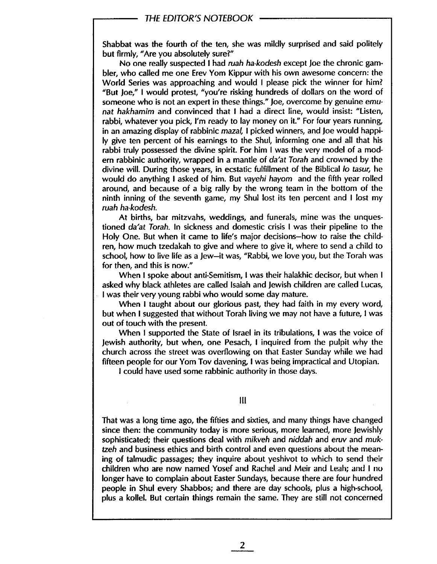## THE EDITOR'S NOTEBOOK

Shabbat was the fourth of the ten, she was mildly surprised and said politely but firmly, "Are you absolutely sure?"

No one really suspected I had ruah ha-kodesh except Joe the chronic gambier, who called me one Erev Yom Kippur with his own awesome concern: the World Series was approaching and would I please pick the winner for him? "But Joe," I would protest, "you're risking hundreds of dollars on the word of someone who is not an expert in these things." Joe, overcome by genuine emunat hakhamim and convinced that I had a direct line, would insist: "Listen, rabbi, whatever you pick, I'm ready to lay money on it." For four years running, in an amazing display of rabbinic mazal, I picked winners, and Joe would happily give ten percent of his earnings to the Shul, informing one and all that his rabbi truly possessed the divine spirit. For him I was the very model of a modern rabbinic authority, wrapped in a mantle of da'at Torah and crowned by the divine wil. During those years, in ecstatic fulfillment of the Biblical 10 tasur, he would do anything I asked of him. But vayehi hayom and the fifth year rolled around, and because of a big rally by the wrong team in the bottom of the ninth inning of the seventh game, my Shul lost its ten percent and I lost my ruah ha-kodesh.

At births, bar mitzvahs, weddings, and funerals, mine was the unquestioned da'at Torah. In sickness and domestic crisis I was their pipeline to the Holy One. But when it came to life's major decisions-how to raise the children, how much tzedakah to give and where to give it, where to send a child to school, how to live life as a Jew-it was, "Rabbi, we love you, but the Torah was for then, and this is now."

When I spoke about anti-Semitism, I was their halakhic decisor, but when I asked why black athletes are called Isaiah and Jewish children are called Lucas, I was their very young rabbi who would some day mature.

When I taught about our glorious past, they had faith in my every word, but when I suggested that without Torah living we may not have a future, I was out of touch with the present.

When I supported the State of Israel in its tribulations, I was the voice of Jewish authority, but when, one Pesach, I inquired from the pulpit why the church across the street was overfowing on that Easter Sunday while we had fifteen people for our Yom Tov davening, I was being impractical and Utopian.

i could have used some rabbinic authority in those days.

## II

That was a long time ago, the fifties and sixties, and many things have changed since then: the community today is more serious, more learned, more lewishly sophisticated; their questions deal with mikveh and niddah and eruv and muktzeh and business ethics and birth control and even questions about the meaning of talmudic passages; they inquire about yeshivot to which to send their children who are now named Yosef and Rachel and Meir and Leah; and I no longer have to complain about Easter Sundays, because there are four hundred people in Shul every Shabbos; and there are day schools, plus a high-school, plus a kollel. But certain things remain the same. They are stil not concerned